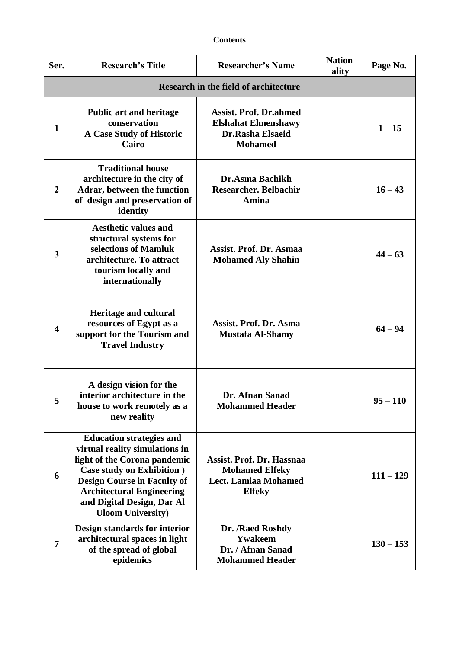| Ser.                    | <b>Research's Title</b>                                                                                                                                                                                                                                                    | <b>Researcher's Name</b>                                                                           | <b>Nation-</b><br>ality | Page No.    |  |  |
|-------------------------|----------------------------------------------------------------------------------------------------------------------------------------------------------------------------------------------------------------------------------------------------------------------------|----------------------------------------------------------------------------------------------------|-------------------------|-------------|--|--|
|                         | <b>Research in the field of architecture</b>                                                                                                                                                                                                                               |                                                                                                    |                         |             |  |  |
| $\mathbf{1}$            | <b>Public art and heritage</b><br>conservation<br>A Case Study of Historic<br>Cairo                                                                                                                                                                                        | <b>Assist. Prof. Dr.ahmed</b><br><b>Elshahat Elmenshawy</b><br>Dr.Rasha Elsaeid<br><b>Mohamed</b>  |                         | $1 - 15$    |  |  |
| $\overline{2}$          | <b>Traditional house</b><br>architecture in the city of<br>Adrar, between the function<br>of design and preservation of<br>identity                                                                                                                                        | <b>Dr.Asma Bachikh</b><br><b>Researcher. Belbachir</b><br>Amina                                    |                         | $16 - 43$   |  |  |
| 3                       | <b>Aesthetic values and</b><br>structural systems for<br>selections of Mamluk<br>architecture. To attract<br>tourism locally and<br>internationally                                                                                                                        | <b>Assist. Prof. Dr. Asmaa</b><br><b>Mohamed Aly Shahin</b>                                        |                         | $44 - 63$   |  |  |
| $\overline{\mathbf{4}}$ | <b>Heritage and cultural</b><br>resources of Egypt as a<br>support for the Tourism and<br><b>Travel Industry</b>                                                                                                                                                           | <b>Assist. Prof. Dr. Asma</b><br><b>Mustafa Al-Shamy</b>                                           |                         | $64 - 94$   |  |  |
| $\mathbf{c}$            | A design vision for the<br>interior architecture in the<br>house to work remotely as a<br>new reality                                                                                                                                                                      | Dr. Afnan Sanad<br><b>Mohammed Header</b>                                                          |                         | $95 - 110$  |  |  |
| 6                       | <b>Education strategies and</b><br>virtual reality simulations in<br>light of the Corona pandemic<br><b>Case study on Exhibition</b> )<br><b>Design Course in Faculty of</b><br><b>Architectural Engineering</b><br>and Digital Design, Dar Al<br><b>Uloom University)</b> | Assist. Prof. Dr. Hassnaa<br><b>Mohamed Elfeky</b><br><b>Lect. Lamiaa Mohamed</b><br><b>Elfeky</b> |                         | $111 - 129$ |  |  |
| $\overline{7}$          | Design standards for interior<br>architectural spaces in light<br>of the spread of global<br>epidemics                                                                                                                                                                     | Dr. /Raed Roshdy<br>Ywakeem<br>Dr. / Afnan Sanad<br><b>Mohammed Header</b>                         |                         | $130 - 153$ |  |  |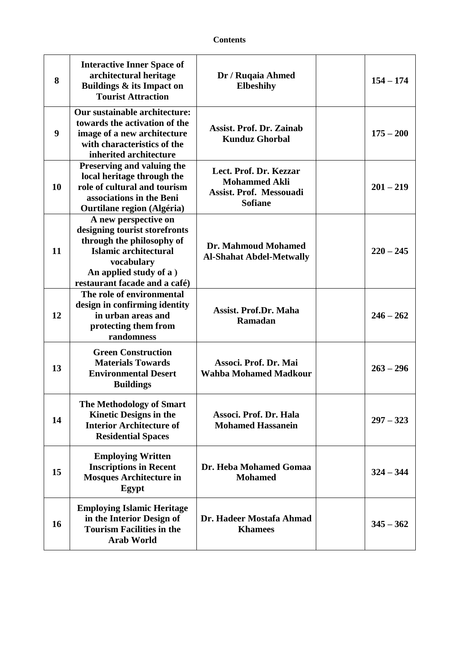| 8  | <b>Interactive Inner Space of</b><br>architectural heritage<br>Buildings & its Impact on<br><b>Tourist Attraction</b>                                                                | Dr / Ruqaia Ahmed<br><b>Elbeshihy</b>                                                              | $154 - 174$ |
|----|--------------------------------------------------------------------------------------------------------------------------------------------------------------------------------------|----------------------------------------------------------------------------------------------------|-------------|
| 9  | Our sustainable architecture:<br>towards the activation of the<br>image of a new architecture<br>with characteristics of the<br>inherited architecture                               | <b>Assist. Prof. Dr. Zainab</b><br><b>Kunduz Ghorbal</b>                                           | $175 - 200$ |
| 10 | Preserving and valuing the<br>local heritage through the<br>role of cultural and tourism<br>associations in the Beni<br><b>Ourtilane region (Algéria)</b>                            | Lect. Prof. Dr. Kezzar<br><b>Mohammed Akli</b><br><b>Assist. Prof. Messouadi</b><br><b>Sofiane</b> | $201 - 219$ |
| 11 | A new perspective on<br>designing tourist storefronts<br>through the philosophy of<br>Islamic architectural<br>vocabulary<br>An applied study of a)<br>restaurant facade and a café) | Dr. Mahmoud Mohamed<br><b>Al-Shahat Abdel-Metwally</b>                                             | $220 - 245$ |
| 12 | The role of environmental<br>design in confirming identity<br>in urban areas and<br>protecting them from<br>randomness                                                               | <b>Assist. Prof.Dr. Maha</b><br>Ramadan                                                            | $246 - 262$ |
| 13 | <b>Green Construction</b><br><b>Materials Towards</b><br><b>Environmental Desert</b><br><b>Buildings</b>                                                                             | Associ. Prof. Dr. Mai<br><b>Wahba Mohamed Madkour</b>                                              | $263 - 296$ |
| 14 | <b>The Methodology of Smart</b><br><b>Kinetic Designs in the</b><br><b>Interior Architecture of</b><br><b>Residential Spaces</b>                                                     | Associ. Prof. Dr. Hala<br><b>Mohamed Hassanein</b>                                                 | $297 - 323$ |
| 15 | <b>Employing Written</b><br><b>Inscriptions in Recent</b><br><b>Mosques Architecture in</b><br>Egypt                                                                                 | Dr. Heba Mohamed Gomaa<br><b>Mohamed</b>                                                           | $324 - 344$ |
| 16 | <b>Employing Islamic Heritage</b><br>in the Interior Design of<br><b>Tourism Facilities in the</b><br><b>Arab World</b>                                                              | Dr. Hadeer Mostafa Ahmad<br><b>Khamees</b>                                                         | $345 - 362$ |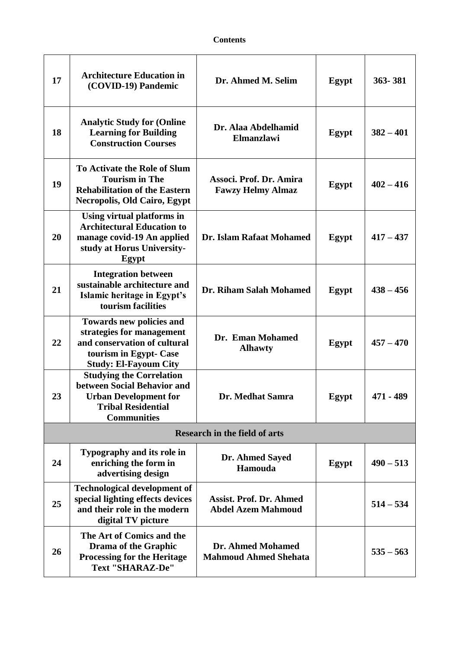| 17 | <b>Architecture Education in</b><br>(COVID-19) Pandemic                                                                                                | Dr. Ahmed M. Selim                                          | Egypt | 363-381     |
|----|--------------------------------------------------------------------------------------------------------------------------------------------------------|-------------------------------------------------------------|-------|-------------|
| 18 | <b>Analytic Study for (Online</b><br><b>Learning for Building</b><br><b>Construction Courses</b>                                                       | Dr. Alaa Abdelhamid<br><b>Elmanzlawi</b>                    | Egypt | $382 - 401$ |
| 19 | To Activate the Role of Slum<br><b>Tourism in The</b><br><b>Rehabilitation of the Eastern</b><br><b>Necropolis, Old Cairo, Egypt</b>                   | Associ. Prof. Dr. Amira<br><b>Fawzy Helmy Almaz</b>         | Egypt | $402 - 416$ |
| 20 | Using virtual platforms in<br><b>Architectural Education to</b><br>manage covid-19 An applied<br>study at Horus University-<br>Egypt                   | Dr. Islam Rafaat Mohamed                                    | Egypt | $417 - 437$ |
| 21 | <b>Integration between</b><br>sustainable architecture and<br>Islamic heritage in Egypt's<br>tourism facilities                                        | Dr. Riham Salah Mohamed                                     | Egypt | $438 - 456$ |
| 22 | <b>Towards new policies and</b><br>strategies for management<br>and conservation of cultural<br>tourism in Egypt- Case<br><b>Study: El-Fayoum City</b> | Dr. Eman Mohamed<br><b>Alhawty</b>                          | Egypt | $457 - 470$ |
| 23 | <b>Studying the Correlation</b><br>between Social Behavior and<br><b>Urban Development for</b><br><b>Tribal Residential</b><br><b>Communities</b>      | Dr. Medhat Samra                                            | Egypt | 471 - 489   |
|    |                                                                                                                                                        | <b>Research in the field of arts</b>                        |       |             |
| 24 | Typography and its role in<br>enriching the form in<br>advertising design                                                                              | Dr. Ahmed Sayed<br>Hamouda                                  | Egypt | $490 - 513$ |
| 25 | <b>Technological development of</b><br>special lighting effects devices<br>and their role in the modern<br>digital TV picture                          | <b>Assist. Prof. Dr. Ahmed</b><br><b>Abdel Azem Mahmoud</b> |       | $514 - 534$ |
| 26 | The Art of Comics and the<br><b>Drama of the Graphic</b><br><b>Processing for the Heritage</b><br><b>Text "SHARAZ-De"</b>                              | Dr. Ahmed Mohamed<br><b>Mahmoud Ahmed Shehata</b>           |       | $535 - 563$ |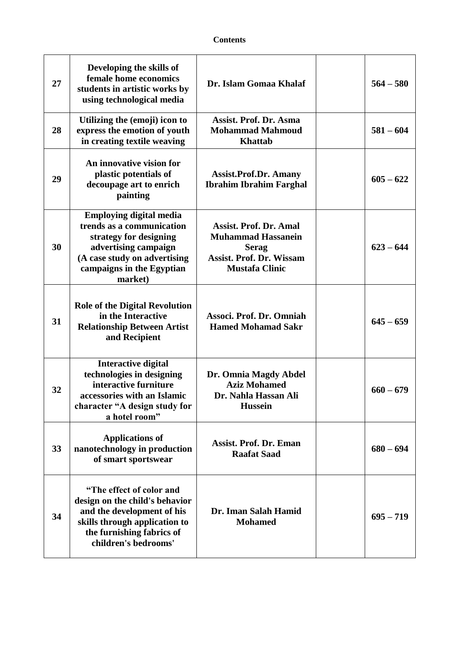| 27 | Developing the skills of<br>female home economics<br>students in artistic works by<br>using technological media                                                                       | Dr. Islam Gomaa Khalaf                                                                                                                 | $564 - 580$ |
|----|---------------------------------------------------------------------------------------------------------------------------------------------------------------------------------------|----------------------------------------------------------------------------------------------------------------------------------------|-------------|
| 28 | Utilizing the (emoji) icon to<br>express the emotion of youth<br>in creating textile weaving                                                                                          | Assist. Prof. Dr. Asma<br><b>Mohammad Mahmoud</b><br><b>Khattab</b>                                                                    | $581 - 604$ |
| 29 | An innovative vision for<br>plastic potentials of<br>decoupage art to enrich<br>painting                                                                                              | <b>Assist.Prof.Dr. Amany</b><br><b>Ibrahim Ibrahim Farghal</b>                                                                         | $605 - 622$ |
| 30 | <b>Employing digital media</b><br>trends as a communication<br>strategy for designing<br>advertising campaign<br>(A case study on advertising<br>campaigns in the Egyptian<br>market) | <b>Assist. Prof. Dr. Amal</b><br><b>Muhammad Hassanein</b><br><b>Serag</b><br><b>Assist. Prof. Dr. Wissam</b><br><b>Mustafa Clinic</b> | $623 - 644$ |
| 31 | <b>Role of the Digital Revolution</b><br>in the Interactive<br><b>Relationship Between Artist</b><br>and Recipient                                                                    | Associ. Prof. Dr. Omniah<br><b>Hamed Mohamad Sakr</b>                                                                                  | $645 - 659$ |
| 32 | <b>Interactive digital</b><br>technologies in designing<br>interactive furniture<br>accessories with an Islamic<br>character "A design study for<br>a hotel room"                     | Dr. Omnia Magdy Abdel<br><b>Aziz Mohamed</b><br>Dr. Nahla Hassan Ali<br><b>Hussein</b>                                                 | $660 - 679$ |
| 33 | <b>Applications of</b><br>nanotechnology in production<br>of smart sportswear                                                                                                         | <b>Assist. Prof. Dr. Eman</b><br><b>Raafat Saad</b>                                                                                    | $680 - 694$ |
| 34 | "The effect of color and<br>design on the child's behavior<br>and the development of his<br>skills through application to<br>the furnishing fabrics of<br>children's bedrooms'        | Dr. Iman Salah Hamid<br><b>Mohamed</b>                                                                                                 | $695 - 719$ |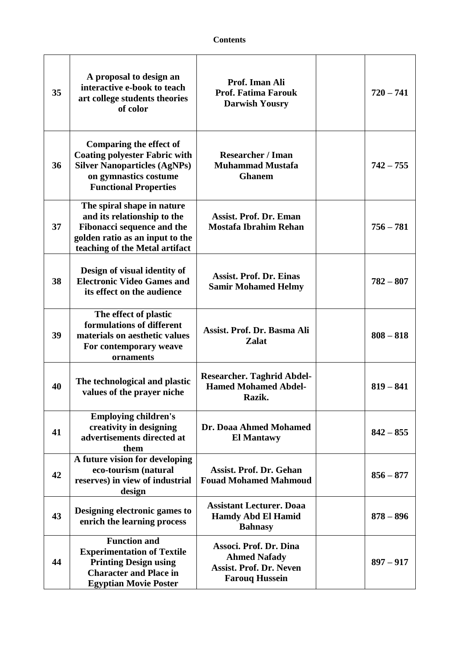| 35 | A proposal to design an<br>interactive e-book to teach<br>art college students theories<br>of color                                                                    | Prof. Iman Ali<br><b>Prof. Fatima Farouk</b><br><b>Darwish Yousry</b>                                    | $720 - 741$ |
|----|------------------------------------------------------------------------------------------------------------------------------------------------------------------------|----------------------------------------------------------------------------------------------------------|-------------|
| 36 | <b>Comparing the effect of</b><br><b>Coating polyester Fabric with</b><br><b>Silver Nanoparticles (AgNPs)</b><br>on gymnastics costume<br><b>Functional Properties</b> | <b>Researcher / Iman</b><br><b>Muhammad Mustafa</b><br><b>Ghanem</b>                                     | $742 - 755$ |
| 37 | The spiral shape in nature<br>and its relationship to the<br><b>Fibonacci sequence and the</b><br>golden ratio as an input to the<br>teaching of the Metal artifact    | <b>Assist. Prof. Dr. Eman</b><br><b>Mostafa Ibrahim Rehan</b>                                            | $756 - 781$ |
| 38 | Design of visual identity of<br><b>Electronic Video Games and</b><br>its effect on the audience                                                                        | <b>Assist. Prof. Dr. Einas</b><br><b>Samir Mohamed Helmy</b>                                             | $782 - 807$ |
| 39 | The effect of plastic<br>formulations of different<br>materials on aesthetic values<br>For contemporary weave<br>ornaments                                             | Assist. Prof. Dr. Basma Ali<br><b>Zalat</b>                                                              | $808 - 818$ |
| 40 | The technological and plastic<br>values of the prayer niche                                                                                                            | <b>Researcher. Taghrid Abdel-</b><br><b>Hamed Mohamed Abdel-</b><br>Razik.                               | $819 - 841$ |
| 41 | <b>Employing children's</b><br>creativity in designing<br>advertisements directed at<br>them                                                                           | Dr. Doaa Ahmed Mohamed<br><b>El Mantawy</b>                                                              | $842 - 855$ |
| 42 | A future vision for developing<br>eco-tourism (natural<br>reserves) in view of industrial<br>design                                                                    | <b>Assist. Prof. Dr. Gehan</b><br><b>Fouad Mohamed Mahmoud</b>                                           | $856 - 877$ |
| 43 | Designing electronic games to<br>enrich the learning process                                                                                                           | <b>Assistant Lecturer. Doaa</b><br><b>Hamdy Abd El Hamid</b><br><b>Bahnasy</b>                           | $878 - 896$ |
| 44 | <b>Function and</b><br><b>Experimentation of Textile</b><br><b>Printing Design using</b><br><b>Character and Place in</b><br><b>Egyptian Movie Poster</b>              | Associ. Prof. Dr. Dina<br><b>Ahmed Nafady</b><br><b>Assist. Prof. Dr. Neven</b><br><b>Farouq Hussein</b> | $897 - 917$ |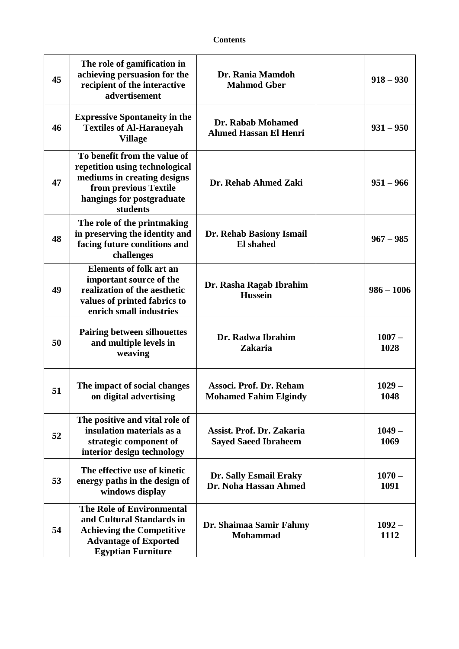| 45 | The role of gamification in<br>achieving persuasion for the<br>recipient of the interactive<br>advertisement                                                    | Dr. Rania Mamdoh<br><b>Mahmod Gber</b>                   | $918 - 930$      |
|----|-----------------------------------------------------------------------------------------------------------------------------------------------------------------|----------------------------------------------------------|------------------|
| 46 | <b>Expressive Spontaneity in the</b><br><b>Textiles of Al-Haraneyah</b><br><b>Village</b>                                                                       | Dr. Rabab Mohamed<br><b>Ahmed Hassan El Henri</b>        | $931 - 950$      |
| 47 | To benefit from the value of<br>repetition using technological<br>mediums in creating designs<br>from previous Textile<br>hangings for postgraduate<br>students | Dr. Rehab Ahmed Zaki                                     | $951 - 966$      |
| 48 | The role of the printmaking<br>in preserving the identity and<br>facing future conditions and<br>challenges                                                     | Dr. Rehab Basiony Ismail<br><b>El shahed</b>             | $967 - 985$      |
| 49 | <b>Elements of folk art an</b><br>important source of the<br>realization of the aesthetic<br>values of printed fabrics to<br>enrich small industries            | Dr. Rasha Ragab Ibrahim<br><b>Hussein</b>                | $986 - 1006$     |
| 50 | <b>Pairing between silhouettes</b><br>and multiple levels in<br>weaving                                                                                         | Dr. Radwa Ibrahim<br><b>Zakaria</b>                      | $1007 -$<br>1028 |
| 51 | The impact of social changes<br>on digital advertising                                                                                                          | Associ. Prof. Dr. Reham<br><b>Mohamed Fahim Elgindy</b>  | $1029 -$<br>1048 |
| 52 | The positive and vital role of<br>insulation materials as a<br>strategic component of<br>interior design technology                                             | Assist. Prof. Dr. Zakaria<br><b>Sayed Saeed Ibraheem</b> | $1049 -$<br>1069 |
| 53 | The effective use of kinetic<br>energy paths in the design of<br>windows display                                                                                | Dr. Sally Esmail Eraky<br>Dr. Noha Hassan Ahmed          | $1070 -$<br>1091 |
| 54 | <b>The Role of Environmental</b><br>and Cultural Standards in<br><b>Achieving the Competitive</b><br><b>Advantage of Exported</b><br><b>Egyptian Furniture</b>  | Dr. Shaimaa Samir Fahmy<br><b>Mohammad</b>               | $1092 -$<br>1112 |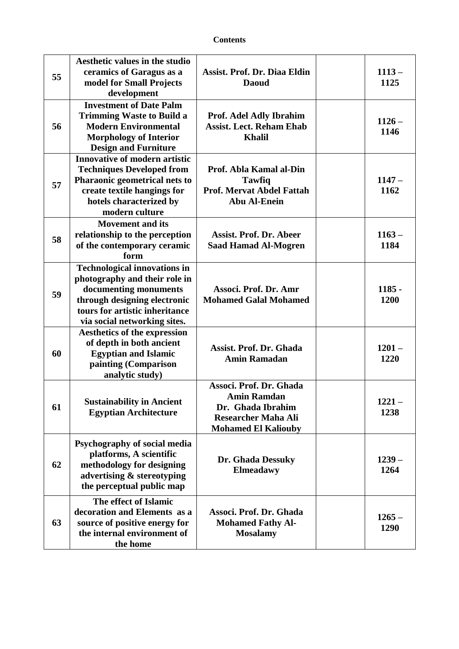| 55 | Aesthetic values in the studio<br>ceramics of Garagus as a<br>model for Small Projects<br>development                                                                                           | <b>Assist. Prof. Dr. Diaa Eldin</b><br><b>Daoud</b>                                                                            | $1113 -$<br>1125 |
|----|-------------------------------------------------------------------------------------------------------------------------------------------------------------------------------------------------|--------------------------------------------------------------------------------------------------------------------------------|------------------|
| 56 | <b>Investment of Date Palm</b><br><b>Trimming Waste to Build a</b><br><b>Modern Environmental</b><br><b>Morphology of Interior</b><br><b>Design and Furniture</b>                               | Prof. Adel Adly Ibrahim<br><b>Assist. Lect. Reham Ehab</b><br><b>Khalil</b>                                                    | $1126 -$<br>1146 |
| 57 | <b>Innovative of modern artistic</b><br><b>Techniques Developed from</b><br>Pharaonic geometrical nets to<br>create textile hangings for<br>hotels characterized by<br>modern culture           | Prof. Abla Kamal al-Din<br><b>Tawfiq</b><br><b>Prof. Mervat Abdel Fattah</b><br><b>Abu Al-Enein</b>                            | $1147 -$<br>1162 |
| 58 | <b>Movement and its</b><br>relationship to the perception<br>of the contemporary ceramic<br>form                                                                                                | <b>Assist. Prof. Dr. Abeer</b><br><b>Saad Hamad Al-Mogren</b>                                                                  | $1163 -$<br>1184 |
| 59 | <b>Technological innovations in</b><br>photography and their role in<br>documenting monuments<br>through designing electronic<br>tours for artistic inheritance<br>via social networking sites. | Associ. Prof. Dr. Amr<br><b>Mohamed Galal Mohamed</b>                                                                          | $1185 -$<br>1200 |
| 60 | <b>Aesthetics of the expression</b><br>of depth in both ancient<br><b>Egyptian and Islamic</b><br>painting (Comparison<br>analytic study)                                                       | <b>Assist. Prof. Dr. Ghada</b><br><b>Amin Ramadan</b>                                                                          | $1201 -$<br>1220 |
| 61 | <b>Sustainability in Ancient</b><br><b>Egyptian Architecture</b>                                                                                                                                | Associ. Prof. Dr. Ghada<br><b>Amin Ramdan</b><br>Dr. Ghada Ibrahim<br><b>Researcher Maha Ali</b><br><b>Mohamed El Kaliouby</b> | 1221 –<br>1238   |
| 62 | Psychography of social media<br>platforms, A scientific<br>methodology for designing<br>advertising & stereotyping<br>the perceptual public map                                                 | Dr. Ghada Dessuky<br><b>Elmeadawy</b>                                                                                          | $1239 -$<br>1264 |
| 63 | The effect of Islamic<br>decoration and Elements as a<br>source of positive energy for<br>the internal environment of<br>the home                                                               | Associ. Prof. Dr. Ghada<br><b>Mohamed Fathy Al-</b><br><b>Mosalamy</b>                                                         | $1265 -$<br>1290 |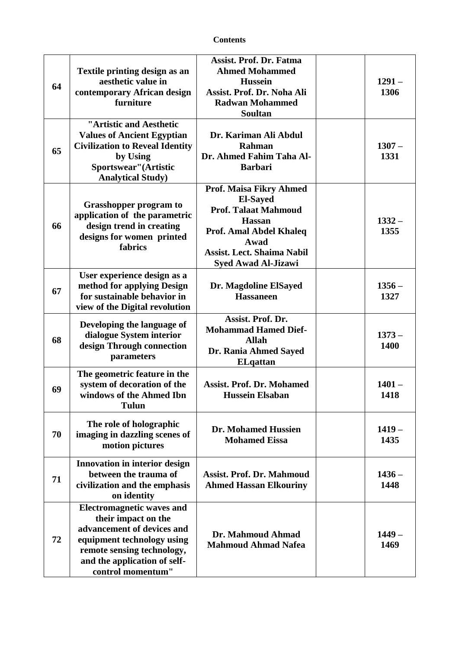| 64 | Textile printing design as an<br>aesthetic value in<br>contemporary African design<br>furniture                                                                                                        | <b>Assist. Prof. Dr. Fatma</b><br><b>Ahmed Mohammed</b><br><b>Hussein</b><br>Assist. Prof. Dr. Noha Ali<br><b>Radwan Mohammed</b><br><b>Soultan</b>                                                     | $1291 -$<br>1306 |
|----|--------------------------------------------------------------------------------------------------------------------------------------------------------------------------------------------------------|---------------------------------------------------------------------------------------------------------------------------------------------------------------------------------------------------------|------------------|
| 65 | "Artistic and Aesthetic<br><b>Values of Ancient Egyptian</b><br><b>Civilization to Reveal Identity</b><br>by Using<br>Sportswear" (Artistic<br><b>Analytical Study)</b>                                | Dr. Kariman Ali Abdul<br>Rahman<br>Dr. Ahmed Fahim Taha Al-<br><b>Barbari</b>                                                                                                                           | $1307 -$<br>1331 |
| 66 | <b>Grasshopper program to</b><br>application of the parametric<br>design trend in creating<br>designs for women printed<br>fabrics                                                                     | <b>Prof. Maisa Fikry Ahmed</b><br><b>El-Sayed</b><br><b>Prof. Talaat Mahmoud</b><br><b>Hassan</b><br>Prof. Amal Abdel Khaleq<br>Awad<br><b>Assist. Lect. Shaima Nabil</b><br><b>Syed Awad Al-Jizawi</b> | $1332 -$<br>1355 |
| 67 | User experience design as a<br>method for applying Design<br>for sustainable behavior in<br>view of the Digital revolution                                                                             | Dr. Magdoline ElSayed<br><b>Hassaneen</b>                                                                                                                                                               | $1356 -$<br>1327 |
| 68 | Developing the language of<br>dialogue System interior<br>design Through connection<br>parameters                                                                                                      | Assist. Prof. Dr.<br><b>Mohammad Hamed Dief-</b><br><b>Allah</b><br>Dr. Rania Ahmed Sayed<br><b>EL</b> qattan                                                                                           | $1373-$<br>1400  |
| 69 | The geometric feature in the<br>system of decoration of the<br>windows of the Ahmed Ibn<br><b>Tulun</b>                                                                                                | <b>Assist. Prof. Dr. Mohamed</b><br><b>Hussein Elsaban</b>                                                                                                                                              | $1401 -$<br>1418 |
| 70 | The role of holographic<br>imaging in dazzling scenes of<br>motion pictures                                                                                                                            | <b>Dr. Mohamed Hussien</b><br><b>Mohamed Eissa</b>                                                                                                                                                      | $1419 -$<br>1435 |
| 71 | Innovation in interior design<br>between the trauma of<br>civilization and the emphasis<br>on identity                                                                                                 | <b>Assist. Prof. Dr. Mahmoud</b><br><b>Ahmed Hassan Elkouriny</b>                                                                                                                                       | $1436 -$<br>1448 |
| 72 | <b>Electromagnetic waves and</b><br>their impact on the<br>advancement of devices and<br>equipment technology using<br>remote sensing technology,<br>and the application of self-<br>control momentum" | Dr. Mahmoud Ahmad<br><b>Mahmoud Ahmad Nafea</b>                                                                                                                                                         | $1449 -$<br>1469 |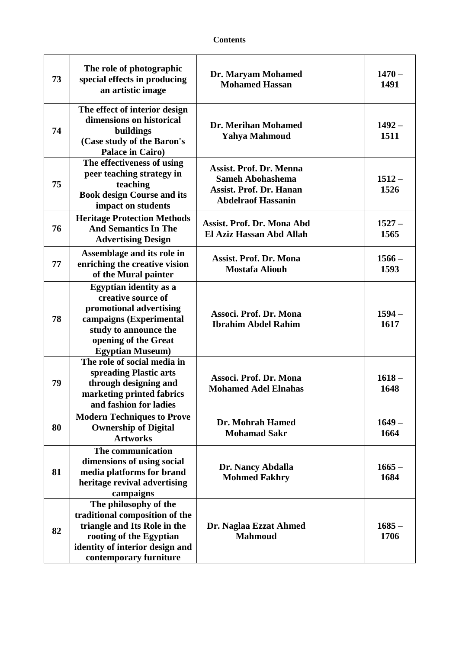| 73 | The role of photographic<br>special effects in producing<br>an artistic image                                                                                                         | Dr. Maryam Mohamed<br><b>Mohamed Hassan</b>                                                                              | $1470 -$<br>1491 |
|----|---------------------------------------------------------------------------------------------------------------------------------------------------------------------------------------|--------------------------------------------------------------------------------------------------------------------------|------------------|
| 74 | The effect of interior design<br>dimensions on historical<br>buildings<br>(Case study of the Baron's<br>Palace in Cairo)                                                              | Dr. Merihan Mohamed<br><b>Yahya Mahmoud</b>                                                                              | $1492 -$<br>1511 |
| 75 | The effectiveness of using<br>peer teaching strategy in<br>teaching<br><b>Book design Course and its</b><br>impact on students                                                        | <b>Assist. Prof. Dr. Menna</b><br><b>Sameh Abohashema</b><br><b>Assist. Prof. Dr. Hanan</b><br><b>Abdelraof Hassanin</b> | $1512 -$<br>1526 |
| 76 | <b>Heritage Protection Methods</b><br><b>And Semantics In The</b><br><b>Advertising Design</b>                                                                                        | <b>Assist. Prof. Dr. Mona Abd</b><br>El Aziz Hassan Abd Allah                                                            | $1527 -$<br>1565 |
| 77 | Assemblage and its role in<br>enriching the creative vision<br>of the Mural painter                                                                                                   | <b>Assist. Prof. Dr. Mona</b><br><b>Mostafa Aliouh</b>                                                                   | $1566 -$<br>1593 |
| 78 | <b>Egyptian identity as a</b><br>creative source of<br>promotional advertising<br>campaigns (Experimental<br>study to announce the<br>opening of the Great<br><b>Egyptian Museum)</b> | Associ. Prof. Dr. Mona<br><b>Ibrahim Abdel Rahim</b>                                                                     | $1594 -$<br>1617 |
| 79 | The role of social media in<br>spreading Plastic arts<br>through designing and<br>marketing printed fabrics<br>and fashion for ladies                                                 | Associ. Prof. Dr. Mona<br><b>Mohamed Adel Elnahas</b>                                                                    | $1618 -$<br>1648 |
| 80 | <b>Modern Techniques to Prove</b><br><b>Ownership of Digital</b><br><b>Artworks</b>                                                                                                   | Dr. Mohrah Hamed<br><b>Mohamad Sakr</b>                                                                                  | $1649-$<br>1664  |
| 81 | The communication<br>dimensions of using social<br>media platforms for brand<br>heritage revival advertising<br>campaigns                                                             | Dr. Nancy Abdalla<br><b>Mohmed Fakhry</b>                                                                                | $1665 -$<br>1684 |
| 82 | The philosophy of the<br>traditional composition of the<br>triangle and Its Role in the<br>rooting of the Egyptian<br>identity of interior design and<br>contemporary furniture       | Dr. Naglaa Ezzat Ahmed<br><b>Mahmoud</b>                                                                                 | $1685 -$<br>1706 |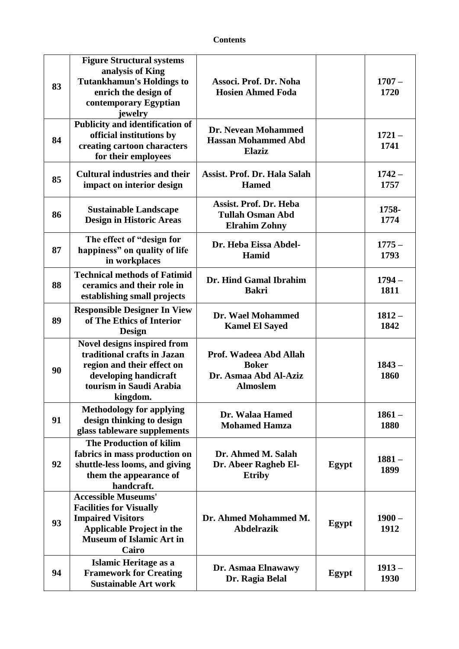| 83 | <b>Figure Structural systems</b><br>analysis of King<br><b>Tutankhamun's Holdings to</b><br>enrich the design of<br>contemporary Egyptian<br>jewelry                     | Associ. Prof. Dr. Noha<br><b>Hosien Ahmed Foda</b>                                 |       | $1707 -$<br>1720 |
|----|--------------------------------------------------------------------------------------------------------------------------------------------------------------------------|------------------------------------------------------------------------------------|-------|------------------|
| 84 | Publicity and identification of<br>official institutions by<br>creating cartoon characters<br>for their employees                                                        | Dr. Nevean Mohammed<br><b>Hassan Mohammed Abd</b><br><b>Elaziz</b>                 |       | $1721 -$<br>1741 |
| 85 | <b>Cultural industries and their</b><br>impact on interior design                                                                                                        | Assist. Prof. Dr. Hala Salah<br><b>Hamed</b>                                       |       | $1742 -$<br>1757 |
| 86 | <b>Sustainable Landscape</b><br><b>Design in Historic Areas</b>                                                                                                          | <b>Assist. Prof. Dr. Heba</b><br><b>Tullah Osman Abd</b><br><b>Elrahim Zohny</b>   |       | 1758-<br>1774    |
| 87 | The effect of "design for<br>happiness" on quality of life<br>in workplaces                                                                                              | Dr. Heba Eissa Abdel-<br>Hamid                                                     |       | $1775 -$<br>1793 |
| 88 | <b>Technical methods of Fatimid</b><br>ceramics and their role in<br>establishing small projects                                                                         | Dr. Hind Gamal Ibrahim<br><b>Bakri</b>                                             |       | $1794-$<br>1811  |
| 89 | <b>Responsible Designer In View</b><br>of The Ethics of Interior<br><b>Design</b>                                                                                        | Dr. Wael Mohammed<br><b>Kamel El Sayed</b>                                         |       | $1812 -$<br>1842 |
| 90 | Novel designs inspired from<br>traditional crafts in Jazan<br>region and their effect on<br>developing handicraft<br>tourism in Saudi Arabia<br>kingdom.                 | Prof. Wadeea Abd Allah<br><b>Boker</b><br>Dr. Asmaa Abd Al-Aziz<br><b>Almoslem</b> |       | $1843 -$<br>1860 |
| 91 | <b>Methodology for applying</b><br>design thinking to design<br>glass tableware supplements                                                                              | Dr. Walaa Hamed<br><b>Mohamed Hamza</b>                                            |       | $1861 -$<br>1880 |
| 92 | <b>The Production of kilim</b><br>fabrics in mass production on<br>shuttle-less looms, and giving<br>them the appearance of<br>handcraft.                                | Dr. Ahmed M. Salah<br>Dr. Abeer Ragheb El-<br><b>Etriby</b>                        | Egypt | $1881 -$<br>1899 |
| 93 | <b>Accessible Museums'</b><br><b>Facilities for Visually</b><br><b>Impaired Visitors</b><br><b>Applicable Project in the</b><br><b>Museum of Islamic Art in</b><br>Cairo | Dr. Ahmed Mohammed M.<br><b>Abdelrazik</b>                                         | Egypt | $1900 -$<br>1912 |
| 94 | Islamic Heritage as a<br><b>Framework for Creating</b><br><b>Sustainable Art work</b>                                                                                    | Dr. Asmaa Elnawawy<br>Dr. Ragia Belal                                              | Egypt | $1913 -$<br>1930 |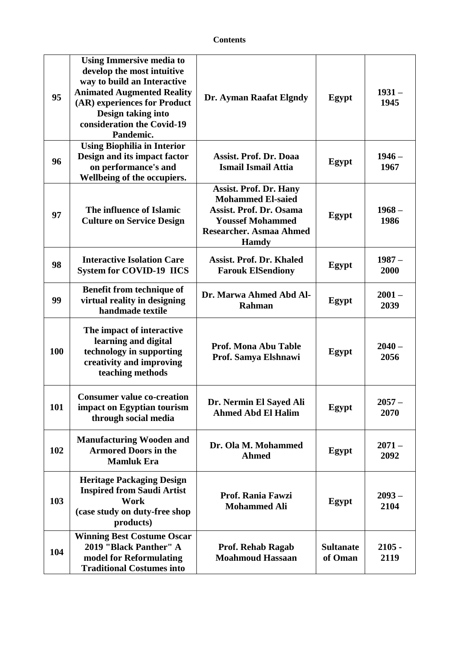| 95  | <b>Using Immersive media to</b><br>develop the most intuitive<br>way to build an Interactive<br><b>Animated Augmented Reality</b><br>(AR) experiences for Product<br>Design taking into<br>consideration the Covid-19<br>Pandemic. | Dr. Ayman Raafat Elgndy                                                                                                                                                  | Egypt                       | $1931 -$<br>1945 |
|-----|------------------------------------------------------------------------------------------------------------------------------------------------------------------------------------------------------------------------------------|--------------------------------------------------------------------------------------------------------------------------------------------------------------------------|-----------------------------|------------------|
| 96  | <b>Using Biophilia in Interior</b><br>Design and its impact factor<br>on performance's and<br>Wellbeing of the occupiers.                                                                                                          | Assist. Prof. Dr. Doaa<br><b>Ismail Ismail Attia</b>                                                                                                                     | Egypt                       | $1946 -$<br>1967 |
| 97  | The influence of Islamic<br><b>Culture on Service Design</b>                                                                                                                                                                       | <b>Assist. Prof. Dr. Hany</b><br><b>Mohammed El-saied</b><br><b>Assist. Prof. Dr. Osama</b><br><b>Youssef Mohammed</b><br><b>Researcher. Asmaa Ahmed</b><br><b>Hamdy</b> | Egypt                       | $1968 -$<br>1986 |
| 98  | <b>Interactive Isolation Care</b><br><b>System for COVID-19 IICS</b>                                                                                                                                                               | <b>Assist. Prof. Dr. Khaled</b><br><b>Farouk ElSendiony</b>                                                                                                              | Egypt                       | $1987 -$<br>2000 |
| 99  | <b>Benefit from technique of</b><br>virtual reality in designing<br>handmade textile                                                                                                                                               | Dr. Marwa Ahmed Abd Al-<br>Rahman                                                                                                                                        | Egypt                       | $2001 -$<br>2039 |
| 100 | The impact of interactive<br>learning and digital<br>technology in supporting<br>creativity and improving<br>teaching methods                                                                                                      | <b>Prof. Mona Abu Table</b><br>Prof. Samya Elshnawi                                                                                                                      | Egypt                       | $2040 -$<br>2056 |
| 101 | <b>Consumer value co-creation</b><br>impact on Egyptian tourism<br>through social media                                                                                                                                            | Dr. Nermin El Sayed Ali<br><b>Ahmed Abd El Halim</b>                                                                                                                     | Egypt                       | $2057 -$<br>2070 |
| 102 | <b>Manufacturing Wooden and</b><br><b>Armored Doors in the</b><br><b>Mamluk Era</b>                                                                                                                                                | Dr. Ola M. Mohammed<br><b>Ahmed</b>                                                                                                                                      | Egypt                       | $2071 -$<br>2092 |
| 103 | <b>Heritage Packaging Design</b><br><b>Inspired from Saudi Artist</b><br>Work<br>(case study on duty-free shop<br>products)                                                                                                        | Prof. Rania Fawzi<br><b>Mohammed Ali</b>                                                                                                                                 | Egypt                       | $2093 -$<br>2104 |
| 104 | <b>Winning Best Costume Oscar</b><br>2019 "Black Panther" A<br>model for Reformulating<br><b>Traditional Costumes into</b>                                                                                                         | <b>Prof. Rehab Ragab</b><br><b>Moahmoud Hassaan</b>                                                                                                                      | <b>Sultanate</b><br>of Oman | $2105 -$<br>2119 |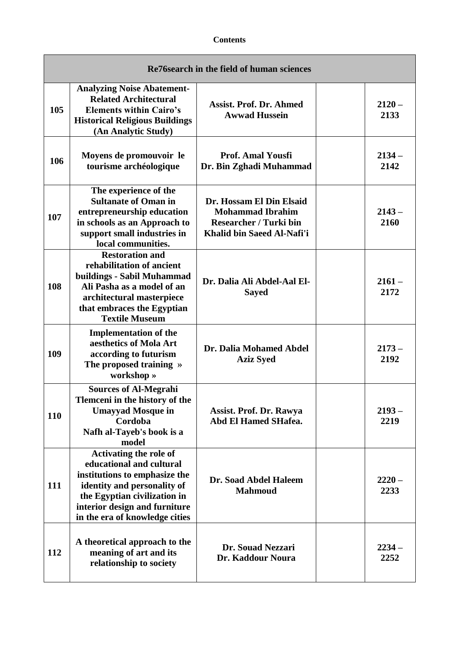| Re76 search in the field of human sciences |                                                                                                                                                                                                                              |                                                                                                                    |                  |  |  |
|--------------------------------------------|------------------------------------------------------------------------------------------------------------------------------------------------------------------------------------------------------------------------------|--------------------------------------------------------------------------------------------------------------------|------------------|--|--|
| 105                                        | <b>Analyzing Noise Abatement-</b><br><b>Related Architectural</b><br><b>Elements within Cairo's</b><br><b>Historical Religious Buildings</b><br>(An Analytic Study)                                                          | <b>Assist. Prof. Dr. Ahmed</b><br><b>Awwad Hussein</b>                                                             | $2120 -$<br>2133 |  |  |
| 106                                        | Moyens de promouvoir le<br>tourisme archéologique                                                                                                                                                                            | <b>Prof. Amal Yousfi</b><br>Dr. Bin Zghadi Muhammad                                                                | $2134 -$<br>2142 |  |  |
| 107                                        | The experience of the<br><b>Sultanate of Oman in</b><br>entrepreneurship education<br>in schools as an Approach to<br>support small industries in<br>local communities.                                                      | Dr. Hossam El Din Elsaid<br><b>Mohammad Ibrahim</b><br><b>Researcher / Turki bin</b><br>Khalid bin Saeed Al-Nafi'i | $2143 -$<br>2160 |  |  |
| 108                                        | <b>Restoration and</b><br>rehabilitation of ancient<br>buildings - Sabil Muhammad<br>Ali Pasha as a model of an<br>architectural masterpiece<br>that embraces the Egyptian<br><b>Textile Museum</b>                          | Dr. Dalia Ali Abdel-Aal El-<br><b>Sayed</b>                                                                        | $2161 -$<br>2172 |  |  |
| 109                                        | <b>Implementation of the</b><br>aesthetics of Mola Art<br>according to futurism<br>The proposed training »<br>workshop »                                                                                                     | Dr. Dalia Mohamed Abdel<br><b>Aziz Syed</b>                                                                        | $2173-$<br>2192  |  |  |
| 110                                        | <b>Sources of Al-Megrahi</b><br>Tlemceni in the history of the<br><b>Umayyad Mosque in</b><br>Cordoba<br>Nafh al-Tayeb's book is a<br>model                                                                                  | Assist. Prof. Dr. Rawya<br>Abd El Hamed SHafea.                                                                    | $2193 -$<br>2219 |  |  |
| 111                                        | <b>Activating the role of</b><br>educational and cultural<br>institutions to emphasize the<br>identity and personality of<br>the Egyptian civilization in<br>interior design and furniture<br>in the era of knowledge cities | Dr. Soad Abdel Haleem<br><b>Mahmoud</b>                                                                            | $2220 -$<br>2233 |  |  |
| 112                                        | A theoretical approach to the<br>meaning of art and its<br>relationship to society                                                                                                                                           | Dr. Souad Nezzari<br>Dr. Kaddour Noura                                                                             | $2234 -$<br>2252 |  |  |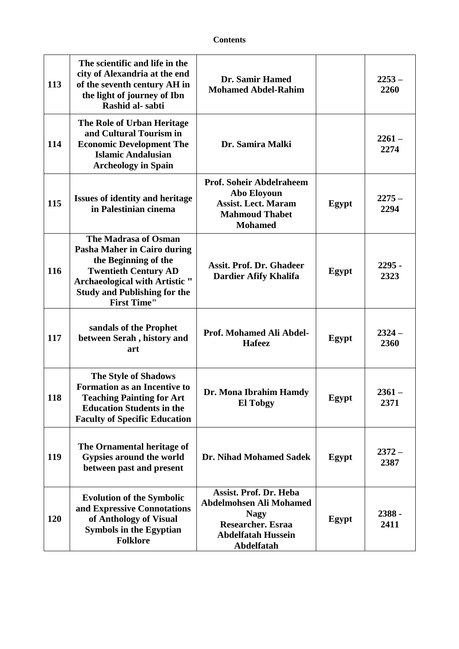| 113        | The scientific and life in the<br>city of Alexandria at the end<br>of the seventh century AH in<br>the light of journey of Ibn<br>Rashid al-sabti                                                                | <b>Dr. Samir Hamed</b><br><b>Mohamed Abdel-Rahim</b>                                                                                                  |       | $2253 -$<br>2260 |
|------------|------------------------------------------------------------------------------------------------------------------------------------------------------------------------------------------------------------------|-------------------------------------------------------------------------------------------------------------------------------------------------------|-------|------------------|
| 114        | The Role of Urban Heritage<br>and Cultural Tourism in<br><b>Economic Development The</b><br><b>Islamic Andalusian</b><br><b>Archeology in Spain</b>                                                              | Dr. Samira Malki                                                                                                                                      |       | $2261 -$<br>2274 |
| 115        | <b>Issues of identity and heritage</b><br>in Palestinian cinema                                                                                                                                                  | <b>Prof. Soheir Abdelraheem</b><br><b>Abo Eloyoun</b><br><b>Assist. Lect. Maram</b><br><b>Mahmoud Thabet</b><br><b>Mohamed</b>                        | Egypt | $2275 -$<br>2294 |
| 116        | The Madrasa of Osman<br>Pasha Maher in Cairo during<br>the Beginning of the<br><b>Twentieth Century AD</b><br><b>Archaeological with Artistic "</b><br><b>Study and Publishing for the</b><br><b>First Time"</b> | <b>Assit. Prof. Dr. Ghadeer</b><br><b>Dardier Afify Khalifa</b>                                                                                       | Egypt | $2295 -$<br>2323 |
| 117        | sandals of the Prophet<br>between Serah, history and<br>art                                                                                                                                                      | Prof. Mohamed Ali Abdel-<br><b>Hafeez</b>                                                                                                             | Egypt | $2324 -$<br>2360 |
| 118        | <b>The Style of Shadows</b><br><b>Formation as an Incentive to</b><br><b>Teaching Painting for Art</b><br><b>Education Students in the</b><br><b>Faculty of Specific Education</b>                               | Dr. Mona Ibrahim Hamdy<br><b>El Tobgy</b>                                                                                                             | Egypt | $2361 -$<br>2371 |
| 119        | The Ornamental heritage of<br>Gypsies around the world<br>between past and present                                                                                                                               | <b>Dr. Nihad Mohamed Sadek</b>                                                                                                                        | Egypt | $2372 -$<br>2387 |
| <b>120</b> | <b>Evolution of the Symbolic</b><br>and Expressive Connotations<br>of Anthology of Visual<br><b>Symbols in the Egyptian</b><br><b>Folklore</b>                                                                   | <b>Assist. Prof. Dr. Heba</b><br><b>Abdelmohsen Ali Mohamed</b><br><b>Nagy</b><br><b>Researcher. Esraa</b><br><b>Abdelfatah Hussein</b><br>Abdelfatah | Egypt | 2388 -<br>2411   |